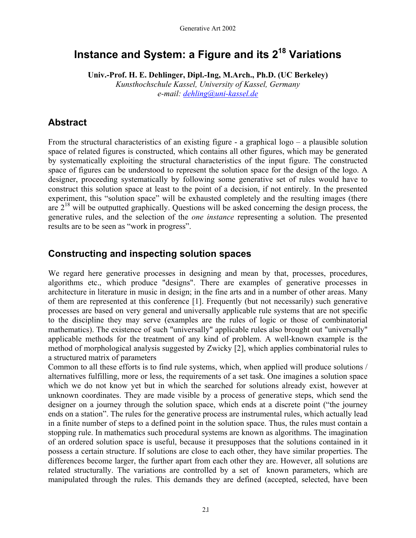# **Instance and System: a Figure and its 218 Variations**

**Univ.-Prof. H. E. Dehlinger, Dipl.-Ing, M.Arch., Ph.D. (UC Berkeley)**  *Kunsthochschule Kassel, University of Kassel, Germany e-mail: [dehling@uni-kassel.de](mailto:dehling@uni-kassel.de)*

### **Abstract**

From the structural characteristics of an existing figure - a graphical logo – a plausible solution space of related figures is constructed, which contains all other figures, which may be generated by systematically exploiting the structural characteristics of the input figure. The constructed space of figures can be understood to represent the solution space for the design of the logo. A designer, proceeding systematically by following some generative set of rules would have to construct this solution space at least to the point of a decision, if not entirely. In the presented experiment, this "solution space" will be exhausted completely and the resulting images (there are  $2^{18}$  will be outputted graphically. Questions will be asked concerning the design process, the generative rules, and the selection of the *one instance* representing a solution. The presented results are to be seen as "work in progress".

#### **Constructing and inspecting solution spaces**

We regard here generative processes in designing and mean by that, processes, procedures, algorithms etc., which produce "designs". There are examples of generative processes in architecture in literature in music in design; in the fine arts and in a number of other areas. Many of them are represented at this conference [1]. Frequently (but not necessarily) such generative processes are based on very general and universally applicable rule systems that are not specific to the discipline they may serve (examples are the rules of logic or those of combinatorial mathematics). The existence of such "universally" applicable rules also brought out "universally" applicable methods for the treatment of any kind of problem. A well-known example is the method of morphological analysis suggested by Zwicky [2], which applies combinatorial rules to a structured matrix of parameters

Common to all these efforts is to find rule systems, which, when applied will produce solutions / alternatives fulfilling, more or less, the requirements of a set task. One imagines a solution space which we do not know yet but in which the searched for solutions already exist, however at unknown coordinates. They are made visible by a process of generative steps, which send the designer on a journey through the solution space, which ends at a discrete point ("the journey ends on a station". The rules for the generative process are instrumental rules, which actually lead in a finite number of steps to a defined point in the solution space. Thus, the rules must contain a stopping rule. In mathematics such procedural systems are known as algorithms. The imagination of an ordered solution space is useful, because it presupposes that the solutions contained in it possess a certain structure. If solutions are close to each other, they have similar properties. The differences become larger, the further apart from each other they are. However, all solutions are related structurally. The variations are controlled by a set of known parameters, which are manipulated through the rules. This demands they are defined (accepted, selected, have been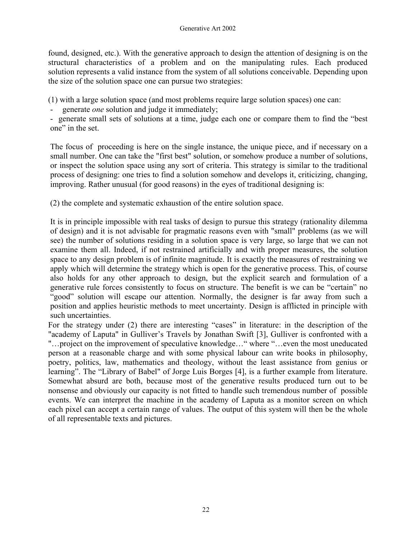found, designed, etc.). With the generative approach to design the attention of designing is on the structural characteristics of a problem and on the manipulating rules. Each produced solution represents a valid instance from the system of all solutions conceivable. Depending upon the size of the solution space one can pursue two strategies:

(1) with a large solution space (and most problems require large solution spaces) one can:

- generate *one* solution and judge it immediately;

- generate small sets of solutions at a time, judge each one or compare them to find the "best one" in the set.

The focus of proceeding is here on the single instance, the unique piece, and if necessary on a small number. One can take the "first best" solution, or somehow produce a number of solutions, or inspect the solution space using any sort of criteria. This strategy is similar to the traditional process of designing: one tries to find a solution somehow and develops it, criticizing, changing, improving. Rather unusual (for good reasons) in the eyes of traditional designing is:

(2) the complete and systematic exhaustion of the entire solution space.

It is in principle impossible with real tasks of design to pursue this strategy (rationality dilemma of design) and it is not advisable for pragmatic reasons even with "small" problems (as we will see) the number of solutions residing in a solution space is very large, so large that we can not examine them all. Indeed, if not restrained artificially and with proper measures, the solution space to any design problem is of infinite magnitude. It is exactly the measures of restraining we apply which will determine the strategy which is open for the generative process. This, of course also holds for any other approach to design, but the explicit search and formulation of a generative rule forces consistently to focus on structure. The benefit is we can be "certain" no "good" solution will escape our attention. Normally, the designer is far away from such a position and applies heuristic methods to meet uncertainty. Design is afflicted in principle with such uncertainties.

For the strategy under (2) there are interesting "cases" in literature: in the description of the "academy of Laputa" in Gulliver's Travels by Jonathan Swift [3], Gulliver is confronted with a "...project on the improvement of speculative knowledge..." where "...even the most uneducated person at a reasonable charge and with some physical labour can write books in philosophy, poetry, politics, law, mathematics and theology, without the least assistance from genius or learning". The "Library of Babel" of Jorge Luis Borges [4], is a further example from literature. Somewhat absurd are both, because most of the generative results produced turn out to be nonsense and obviously our capacity is not fitted to handle such tremendous number of possible events. We can interpret the machine in the academy of Laputa as a monitor screen on which each pixel can accept a certain range of values. The output of this system will then be the whole of all representable texts and pictures.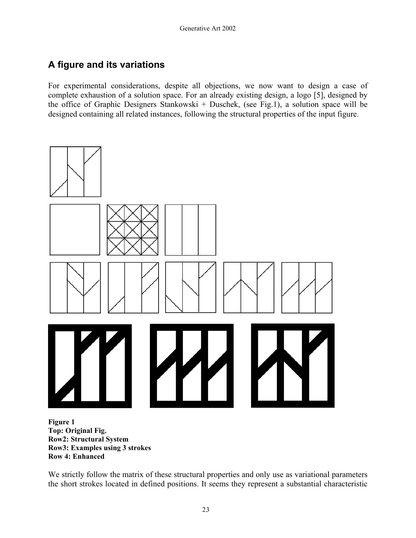# **A figure and its variations**

For experimental considerations, despite all objections, we now want to design a case of complete exhaustion of a solution space. For an already existing design, a logo [5], designed by the office of Graphic Designers Stankowski + Duschek, (see Fig.1), a solution space will be designed containing all related instances, following the structural properties of the input figure.



**Figure 1 Top: Original Fig. Row2: Structural System Row3: Examples using 3 strokes Row 4: Enhanced** 

We strictly follow the matrix of these structural properties and only use as variational parameters the short strokes located in defined positions. It seems they represent a substantial characteristic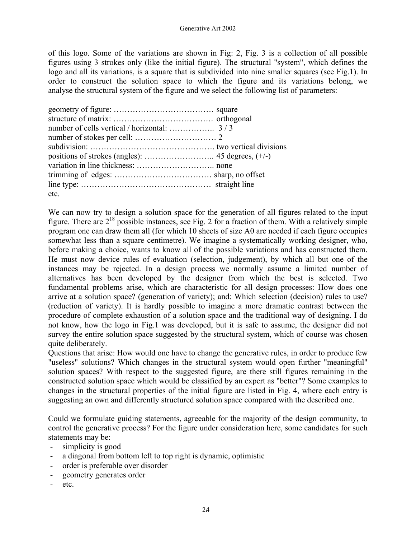of this logo. Some of the variations are shown in Fig: 2, Fig. 3 is a collection of all possible figures using 3 strokes only (like the initial figure). The structural "system", which defines the logo and all its variations, is a square that is subdivided into nine smaller squares (see Fig.1). In order to construct the solution space to which the figure and its variations belong, we analyse the structural system of the figure and we select the following list of parameters:

| etc. |  |
|------|--|

We can now try to design a solution space for the generation of all figures related to the input figure. There are  $2^{18}$  possible instances, see Fig. 2 for a fraction of them. With a relatively simple program one can draw them all (for which 10 sheets of size A0 are needed if each figure occupies somewhat less than a square centimetre). We imagine a systematically working designer, who, before making a choice, wants to know all of the possible variations and has constructed them. He must now device rules of evaluation (selection, judgement), by which all but one of the instances may be rejected. In a design process we normally assume a limited number of alternatives has been developed by the designer from which the best is selected. Two fundamental problems arise, which are characteristic for all design processes: How does one arrive at a solution space? (generation of variety); and: Which selection (decision) rules to use? (reduction of variety). It is hardly possible to imagine a more dramatic contrast between the procedure of complete exhaustion of a solution space and the traditional way of designing. I do not know, how the logo in Fig.1 was developed, but it is safe to assume, the designer did not survey the entire solution space suggested by the structural system, which of course was chosen quite deliberately.

Questions that arise: How would one have to change the generative rules, in order to produce few "useless" solutions? Which changes in the structural system would open further "meaningful" solution spaces? With respect to the suggested figure, are there still figures remaining in the constructed solution space which would be classified by an expert as "better"? Some examples to changes in the structural properties of the initial figure are listed in Fig. 4, where each entry is suggesting an own and differently structured solution space compared with the described one.

Could we formulate guiding statements, agreeable for the majority of the design community, to control the generative process? For the figure under consideration here, some candidates for such statements may be:

- simplicity is good
- a diagonal from bottom left to top right is dynamic, optimistic
- order is preferable over disorder
- geometry generates order
- etc.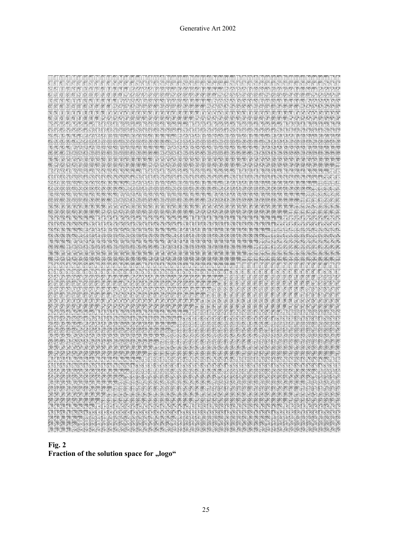| या घा<br>M<br>M<br>KYI.                                                                                        |                                                               |                                                     |                                                                                                                              | mn                                                                                                                                                 |
|----------------------------------------------------------------------------------------------------------------|---------------------------------------------------------------|-----------------------------------------------------|------------------------------------------------------------------------------------------------------------------------------|----------------------------------------------------------------------------------------------------------------------------------------------------|
| Y.<br>й<br>Y.<br>Y.<br>P.                                                                                      |                                                               |                                                     |                                                                                                                              |                                                                                                                                                    |
|                                                                                                                |                                                               |                                                     |                                                                                                                              |                                                                                                                                                    |
| মাতা প্ৰাপ্তা আকা আকা আকা অ                                                                                    | ΦM<br>M                                                       | <b>MARIA</b><br>M<br>MM<br>₩                        | Ÿ<br>₩<br>Y<br>M<br>M<br>Wì<br>M                                                                                             | man a a a a a a a a<br>M<br>Y<br>M<br>m                                                                                                            |
| KKK<br>SSN SSN                                                                                                 |                                                               | N                                                   |                                                                                                                              | <b>UNAN DU</b><br>WW.<br>m<br>m<br>Ñ                                                                                                               |
| या आ या आ या आ या था जा या या अवस्था का पर पर आ या या या या या या या या या                                     |                                                               |                                                     | <u>kan dan kan akn kan didukun kan kan kan kan kan dan kan kan dan kan</u>                                                   | m                                                                                                                                                  |
| Y IN                                                                                                           | IX.<br>imme                                                   | m<br>781                                            | m                                                                                                                            | mm                                                                                                                                                 |
| rre                                                                                                            |                                                               | m                                                   | <b>KINNINI</b>                                                                                                               | K K K K K K K K K K K K<br>m                                                                                                                       |
|                                                                                                                |                                                               |                                                     |                                                                                                                              | mr<br>wiwiwiwi<br>NA KA                                                                                                                            |
| I MM<br>mи<br>IM<br>m<br>M.                                                                                    | mali an an a                                                  |                                                     | MЙ<br>m<br>m<br>YPI<br>M.<br>M                                                                                               | ymy<br>לדולדולד ולדולרולר                                                                                                                          |
| <b>ANUANU</b><br>MΥ                                                                                            | rnan                                                          |                                                     |                                                                                                                              |                                                                                                                                                    |
|                                                                                                                |                                                               |                                                     |                                                                                                                              |                                                                                                                                                    |
| rnm<br>m<br>m<br>PΥ<br>Ph<br>M<br>149                                                                          | Th<br>m                                                       |                                                     | m<br>Ŵ<br>m<br>m<br>PP                                                                                                       | P<br>m<br>P<br>mr                                                                                                                                  |
| rnsn<br>ая кая кая<br>ŸY<br>ŘЙ                                                                                 | M<br>YP<br>92                                                 | ₩                                                   | Ÿ<br>M<br>φñ<br>PP.                                                                                                          | ₩<br>Ÿ<br>Ÿ                                                                                                                                        |
| rn<br>rn<br><b>NY</b>                                                                                          | 70<br>rnm<br>ΓM                                               |                                                     | 19<br>m<br>RP<br>M                                                                                                           | m<br>NDI MD                                                                                                                                        |
|                                                                                                                |                                                               |                                                     |                                                                                                                              |                                                                                                                                                    |
|                                                                                                                |                                                               |                                                     | RΫ                                                                                                                           |                                                                                                                                                    |
| rina<br>rniva<br>rnin                                                                                          | haa haa haa bar haa haa haa haa haa                           | nn na na<br>M<br>matrama                            | Ŵ<br>m<br>M<br>m<br>Ŵ<br>m<br>m<br>m                                                                                         | <b>RY RY RY RY RY</b><br>TRA<br>mm                                                                                                                 |
| 92 YA KA NA NA KA KA KA KA NA KA KA KA KA KA KA KA KA KA KA                                                    |                                                               | <b>MARA</b><br>00000000000                          |                                                                                                                              | rm<br>₩₩<br>HP<br>ſΨ<br>RЙ<br>M<br>ŀΨ                                                                                                              |
|                                                                                                                |                                                               |                                                     |                                                                                                                              |                                                                                                                                                    |
|                                                                                                                |                                                               |                                                     |                                                                                                                              | NЙ                                                                                                                                                 |
|                                                                                                                |                                                               |                                                     |                                                                                                                              | NRF                                                                                                                                                |
|                                                                                                                |                                                               |                                                     |                                                                                                                              | 阳阳                                                                                                                                                 |
| MW W<br><b>YA YA</b><br><b>981 PSA</b><br>₩                                                                    | 网网网路                                                          | <b>MARRI</b><br>₩<br>₩<br>₩<br>₩                    | ₩<br>₩<br>₩                                                                                                                  | 82 YA 62 BA 62 BA 62 BA<br>₩                                                                                                                       |
|                                                                                                                |                                                               |                                                     |                                                                                                                              |                                                                                                                                                    |
| I KRITKKI                                                                                                      | KK                                                            | YR<br>m<br>KR                                       | m<br>KR                                                                                                                      | 困略<br>1991<br><b>KRIMA</b><br>m                                                                                                                    |
| दरद स्टर्स स्टर्स करा कर कर सार सार कर वर्ष बर्स स्टर्स से कर कर किया है कि किया किया किया है कि किया किया किय |                                                               | 839 589 889 889                                     |                                                                                                                              | दरम छरन हरने परहा दरने छरने छरने हरने परहा देखें हरने छनने छनने हरने परहा<br>m                                                                     |
| <b>KA KALI KA</b><br><b>MM</b><br>YA MAYYA MA                                                                  | na kanana amana                                               | 网络图密图图图图                                            | m<br><b>KARINARY</b><br>K                                                                                                    | 18 8 78 8 8 78 78 78 8 78<br>R                                                                                                                     |
|                                                                                                                |                                                               |                                                     |                                                                                                                              |                                                                                                                                                    |
|                                                                                                                |                                                               |                                                     |                                                                                                                              | 腳圈<br><b>MAN RAN</b><br><b>BAN BAN HAN BAN</b>                                                                                                     |
| inimin<br>M.<br>IN<br>m<br>m<br>M.                                                                             | IRARDRARIA                                                    | œ<br>₪<br>m<br>œ<br>m                               | Ä₿'<br>∐<br>ñB<br>Iñ<br>ĭñ<br>18<br>m<br>YB<br>M.                                                                            | 丽怀<br>na mana na mama                                                                                                                              |
| <b>PRANALA</b><br>MΧ<br>MΆ<br>NМ<br>NY                                                                         | <b><i>IRKRRRRR</i></b><br>YR<br>ΥR                            |                                                     | 嘚                                                                                                                            | Ñ۲<br>NY<br>٢۴<br>11<br>RRY                                                                                                                        |
| YAMA<br>YB<br>m<br>T.<br>118                                                                                   | ₩<br>PR<br>m                                                  | m<br>m<br>Ħ                                         | 圈<br>m<br>圈<br>r i<br>Yĕ                                                                                                     | œ<br>翻翻捆捆<br>ĩX<br>隬<br>科胚                                                                                                                         |
| ĩX                                                                                                             | Y.<br>YB                                                      |                                                     |                                                                                                                              |                                                                                                                                                    |
| ₩<br>₽R<br>٩Ж<br>ΝW                                                                                            | ₩<br>₩                                                        | <b>PR</b><br>₩<br>₩                                 | <b>YA MA VA</b><br>ŸŘ<br>₩                                                                                                   | ₩₩<br>图图                                                                                                                                           |
| <b>RAPARANA</b><br>r.<br>m<br>KR.<br>NA MAI                                                                    | <b>PATHEMPATH PATHEMPATH PATHEMPATH</b>                       | rn<br>ï¥<br>m                                       | YB<br>m<br><b>PARA</b>                                                                                                       | 医皮皮皮质性的 医阿西西氏<br>相杯<br>困陷<br>m<br>MЧ<br>₩                                                                                                          |
| বার মধ্যে মধ্য<br>的复数肉                                                                                         | 10 10 11 12 13 14 15 16 17 18 18 19 19 19 19 19 19 19 19 19 1 | ₩<br>N<br>ΚØ<br>RØ                                  | ₩<br>КØ<br>RR<br>ÑΫ                                                                                                          | 438 538 538 538 638 538 538 mm mm mm mm mm mm mm mm<br>御殿<br>RЧ<br>₩<br>KМ                                                                         |
|                                                                                                                |                                                               |                                                     |                                                                                                                              |                                                                                                                                                    |
|                                                                                                                |                                                               |                                                     |                                                                                                                              |                                                                                                                                                    |
|                                                                                                                |                                                               |                                                     |                                                                                                                              | <b>NA NA RA RA RA RA AA AA AA AA AA AA AA AA</b><br>网络<br>科隊                                                                                       |
| <b>BRITISH</b><br>Ñ₩<br>42 42<br>₩                                                                             | ₩<br>₩<br>₩<br>98 PB 88 88                                    | <b>1982 - 148</b><br>ŃЙ<br>M<br>M<br>Y.<br>KR.<br>M | ₿Ø<br>₩<br>₩<br>₩<br>₩<br>φø<br>N®<br>₩<br>w                                                                                 | <b>An Don Box AR RAI DEN</b><br>もの のうかい スタッチ スタッチ かんじょう かんじょう かんきょう かいしゃく かんきょう あいまく しゅうしょう                                                        |
|                                                                                                                |                                                               |                                                     |                                                                                                                              |                                                                                                                                                    |
| unimmini                                                                                                       | monumomomunar                                                 |                                                     | 181                                                                                                                          | 181<br><u>Mala</u><br>IBT<br>IBI<br>m<br>m<br>nai                                                                                                  |
|                                                                                                                |                                                               |                                                     | sa ka sa sa sa na sa sa<br>8 18 18 19 1                                                                                      | <u>BIRTRIRIN</u><br>Ыĭ<br>nei<br>BN.<br>Bîl<br>BN.<br>Ыĩ                                                                                           |
| mm                                                                                                             |                                                               |                                                     | им                                                                                                                           | 阳阳阴阴<br>M<br>羽阴<br>M<br>Ø                                                                                                                          |
|                                                                                                                |                                                               |                                                     |                                                                                                                              | 所<br>圀<br>圀                                                                                                                                        |
| <b>A K K K K K K K K K K K K K K</b>                                                                           |                                                               | <u>hannannan</u><br><b>MM</b>                       | mh<br><u>ete ete ete et</u>                                                                                                  | M<br>R)<br>M<br>M<br>团昭                                                                                                                            |
| ANAN<br>M                                                                                                      | M                                                             |                                                     | 困困<br>M<br>图<br>A<br>À                                                                                                       | 岡園<br>圀<br>阏                                                                                                                                       |
| PR PR PR PR PR PR PR PR<br>SKY 15KY                                                                            | YA YA BA BA PA                                                | <b>SYLISYLISYLISYL</b><br>ßñ<br>₩<br>ßΜ             | <b>SMISM</b><br>18T<br>81<br>硏<br>图                                                                                          | 图图图图图图图图<br>圈<br>阏<br>R<br>圈                                                                                                                       |
| ROKARA KAKA<br>XIX<br>UR)                                                                                      | <u>mm xiyi xiyi</u>                                           | an an an an an an<br>m<br>m                         | m<br>min<br><b>XXXXXXXXXX</b>                                                                                                | 189<br>約路<br>И<br>陱                                                                                                                                |
|                                                                                                                |                                                               |                                                     |                                                                                                                              |                                                                                                                                                    |
| ንዳን እንደ የኢንዮጵያ የኢንዮጵያ የኢንዮጵያ የኢንዮጵያ የኢንዮጵያ የኢንዮጵያ                                                              |                                                               |                                                     |                                                                                                                              | 圈<br>躎<br>附因<br>W<br>BМ                                                                                                                            |
| mmm<br><u>Lindridhion Lindri Al</u><br>D PI                                                                    |                                                               | DY<br>m<br>unon<br>DY                               | <u>ahananananananananananan</u>                                                                                              | mm                                                                                                                                                 |
| ßħ<br>M<br>871                                                                                                 | N M S M                                                       | ĦИ                                                  | Я                                                                                                                            | หต                                                                                                                                                 |
| m<br><b>PRIPR</b><br>m<br>m<br>m                                                                               | <i>TA CARDA CA</i><br>m                                       | mmm                                                 | 222 网络欧欧欧欧欧欧欧欧欧欧欧欧欧欧欧                                                                                                        | mpr                                                                                                                                                |
|                                                                                                                |                                                               |                                                     |                                                                                                                              |                                                                                                                                                    |
| SPP 1972<br>m<br>rnan                                                                                          | MM<br>Yñ<br>SPP.                                              | 87<br>腳腳                                            | 腳腳<br>82<br>BЯ                                                                                                               | 82162182182<br>mm                                                                                                                                  |
| <b>PARA</b><br>m<br>m                                                                                          | <u>IN IN IN IN IN IN IN </u><br>mm<br>mm                      | lmor<br>mm<br>5. AN<br>阳阳                           | 网络附件<br>科科科科科科科科科                                                                                                            | 腳蹄                                                                                                                                                 |
| 579879879879<br><b>SPA BRP</b>                                                                                 | 549.6491                                                      | 89<br>89<br>阳                                       | 腳腳腳腳腳的                                                                                                                       |                                                                                                                                                    |
|                                                                                                                |                                                               |                                                     |                                                                                                                              | <b>PAIRA</b><br>DAY BAY<br>渊渊                                                                                                                      |
|                                                                                                                |                                                               |                                                     | PARTA PARTA PARTA PARTA PARTA DE LA PARTA PARTA PARTA PARTA PARTA PARTA PARTA PARTA PARTA PARTA PARTA PARTA PA               |                                                                                                                                                    |
| 999 HAYA 1549                                                                                                  |                                                               | <b>SPEED BAY BAY</b>                                |                                                                                                                              | 科屋                                                                                                                                                 |
|                                                                                                                |                                                               |                                                     |                                                                                                                              | NØF                                                                                                                                                |
|                                                                                                                | 888888888888888888888888888888                                |                                                     |                                                                                                                              | NB F                                                                                                                                               |
|                                                                                                                |                                                               |                                                     |                                                                                                                              |                                                                                                                                                    |
| Ж                                                                                                              | 网络网络欧欧欧欧欧                                                     | 不不不不不不不不不不                                          |                                                                                                                              | mm                                                                                                                                                 |
|                                                                                                                |                                                               |                                                     |                                                                                                                              | 医内皮术                                                                                                                                               |
|                                                                                                                |                                                               |                                                     |                                                                                                                              |                                                                                                                                                    |
|                                                                                                                |                                                               |                                                     |                                                                                                                              |                                                                                                                                                    |
|                                                                                                                |                                                               |                                                     |                                                                                                                              |                                                                                                                                                    |
|                                                                                                                |                                                               |                                                     | <b><i>TATAR TATAR TATAR TAHUN SERIA DI PADA DAN SERIA DAN SERIA DAN SERIA DAN SERIA DAN SERIA DAN SERIA DAN SERIA DA</i></b> | 网络<br>不不不不<br>困困                                                                                                                                   |
|                                                                                                                |                                                               |                                                     |                                                                                                                              |                                                                                                                                                    |
| mm<br>mont                                                                                                     |                                                               |                                                     |                                                                                                                              | <b>ARABARARAYAYA</b><br><b>ABBA</b>                                                                                                                |
|                                                                                                                |                                                               |                                                     |                                                                                                                              |                                                                                                                                                    |
|                                                                                                                |                                                               |                                                     |                                                                                                                              | <b>SBRBBBBBB</b><br><b>ERRA</b>                                                                                                                    |
|                                                                                                                |                                                               |                                                     |                                                                                                                              | 网络网络图                                                                                                                                              |
| <b>SPACE OF CREW</b><br>网网网风                                                                                   |                                                               |                                                     | BER DER DER BERIKERT BERIKEN BERIKERT BERIKERT BERIKERT BERIKERT BERIKERT BERIKERT BERIKERT BERIKERT BERIKERT                | 邪邪<br>阳<br>经<br>K<br>网络网<br><b>THE TABLE TO THE TABLE THAT THE TABLE TO THE TABLE TO THE TABLE TO THE TABLE TO THE TABLE THE TABLE THE TABLE T</b> |

**Fig. 2 Fraction of the solution space for "logo"**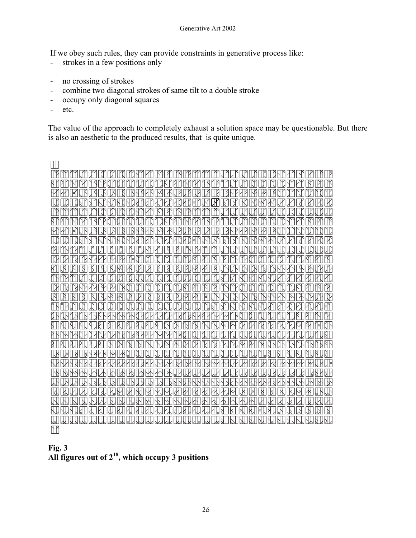If we obey such rules, they can provide constraints in generative process like:

- strokes in a few positions only
- no crossing of strokes
- combine two diagonal strokes of same tilt to a double stroke
- occupy only diagonal squares
- etc.

The value of the approach to completely exhaust a solution space may be questionable. But there is also an aesthetic to the produced results, that is quite unique.



**Fig. 3 All figures out of 218, which occupy 3 positions**